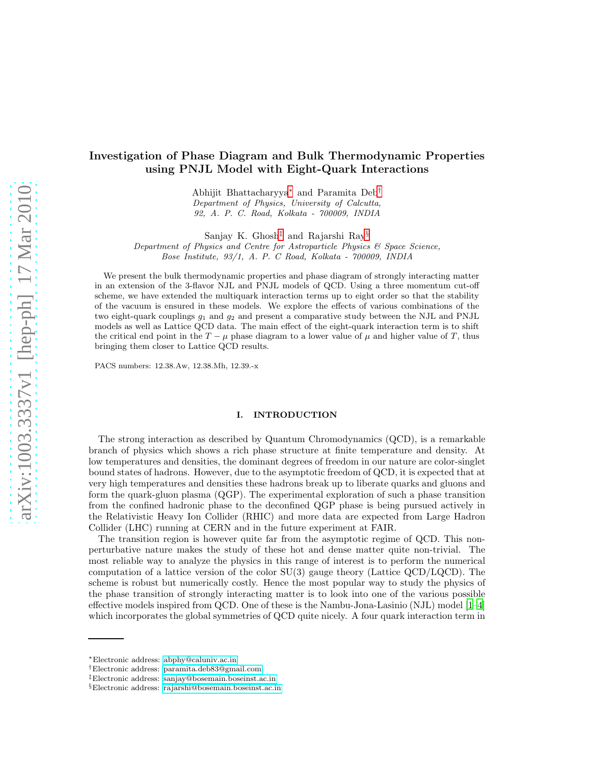# Investigation of Phase Diagram and Bulk Thermodynamic Properties using PNJL Model with Eight-Quark Interactions

Abhijit Bhattacharyya[∗](#page-0-0) and Paramita Deb[†](#page-0-1) Department of Physics, University of Calcutta, 92, A. P. C. Road, Kolkata - 700009, INDIA

Sanjay K. Ghosh[‡](#page-0-2) and Rajarshi Ray[§](#page-0-3)

Department of Physics and Centre for Astroparticle Physics & Space Science, Bose Institute, 93/1, A. P. C Road, Kolkata - 700009, INDIA

We present the bulk thermodynamic properties and phase diagram of strongly interacting matter in an extension of the 3-flavor NJL and PNJL models of QCD. Using a three momentum cut-off scheme, we have extended the multiquark interaction terms up to eight order so that the stability of the vacuum is ensured in these models. We explore the effects of various combinations of the two eight-quark couplings  $g_1$  and  $g_2$  and present a comparative study between the NJL and PNJL models as well as Lattice QCD data. The main effect of the eight-quark interaction term is to shift the critical end point in the  $T - \mu$  phase diagram to a lower value of  $\mu$  and higher value of T, thus bringing them closer to Lattice QCD results.

PACS numbers: 12.38.Aw, 12.38.Mh, 12.39.-x

## I. INTRODUCTION

The strong interaction as described by Quantum Chromodynamics (QCD), is a remarkable branch of physics which shows a rich phase structure at finite temperature and density. At low temperatures and densities, the dominant degrees of freedom in our nature are color-singlet bound states of hadrons. However, due to the asymptotic freedom of QCD, it is expected that at very high temperatures and densities these hadrons break up to liberate quarks and gluons and form the quark-gluon plasma (QGP). The experimental exploration of such a phase transition from the confined hadronic phase to the deconfined QGP phase is being pursued actively in the Relativistic Heavy Ion Collider (RHIC) and more data are expected from Large Hadron Collider (LHC) running at CERN and in the future experiment at FAIR.

The transition region is however quite far from the asymptotic regime of QCD. This nonperturbative nature makes the study of these hot and dense matter quite non-trivial. The most reliable way to analyze the physics in this range of interest is to perform the numerical computation of a lattice version of the color  $SU(3)$  gauge theory (Lattice  $QCD/LQCD$ ). The scheme is robust but numerically costly. Hence the most popular way to study the physics of the phase transition of strongly interacting matter is to look into one of the various possible effective models inspired from QCD. One of these is the Nambu-Jona-Lasinio (NJL) model [\[1](#page-12-0)[–4](#page-12-1)] which incorporates the global symmetries of QCD quite nicely. A four quark interaction term in

<span id="page-0-0"></span><sup>∗</sup>Electronic address: [abphy@caluniv.ac.in](mailto:abphy@caluniv.ac.in)

<span id="page-0-1"></span><sup>†</sup>Electronic address: [paramita.deb83@gmail.com](mailto:paramita.deb83@gmail.com)

<span id="page-0-2"></span><sup>‡</sup>Electronic address: [sanjay@bosemain.boseinst.ac.in](mailto:sanjay@bosemain.boseinst.ac.in)

<span id="page-0-3"></span><sup>§</sup>Electronic address: [rajarshi@bosemain.boseinst.ac.in](mailto:rajarshi@bosemain.boseinst.ac.in)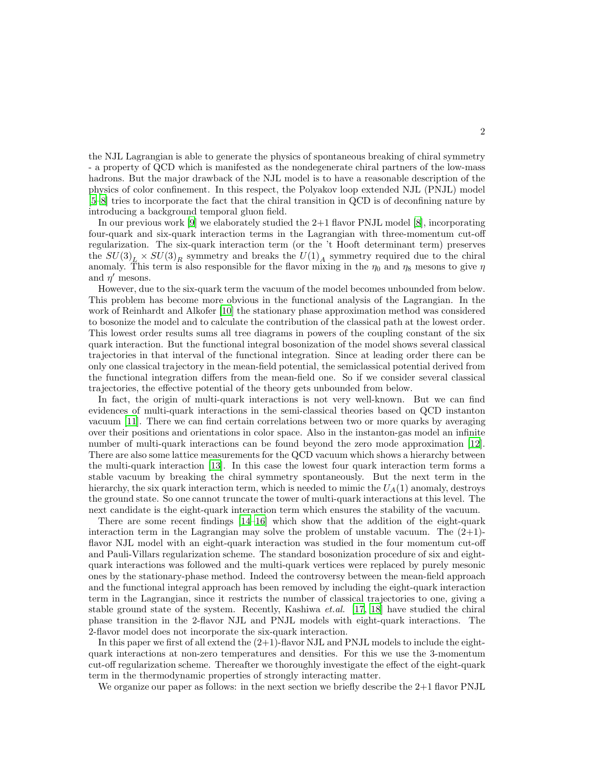the NJL Lagrangian is able to generate the physics of spontaneous breaking of chiral symmetry - a property of QCD which is manifested as the nondegenerate chiral partners of the low-mass hadrons. But the major drawback of the NJL model is to have a reasonable description of the physics of color confinement. In this respect, the Polyakov loop extended NJL (PNJL) model [\[5](#page-12-2)[–8\]](#page-13-0) tries to incorporate the fact that the chiral transition in QCD is of deconfining nature by introducing a background temporal gluon field.

In our previous work  $[9]$  we elaborately studied the 2+1 flavor PNJL model  $[8]$ , incorporating four-quark and six-quark interaction terms in the Lagrangian with three-momentum cut-off regularization. The six-quark interaction term (or the 't Hooft determinant term) preserves the  $SU(3)_L \times SU(3)_R$  symmetry and breaks the  $U(1)_A$  symmetry required due to the chiral anomaly. This term is also responsible for the flavor mixing in the  $\eta_0$  and  $\eta_8$  mesons to give  $\eta$ and  $\eta'$  mesons.

However, due to the six-quark term the vacuum of the model becomes unbounded from below. This problem has become more obvious in the functional analysis of the Lagrangian. In the work of Reinhardt and Alkofer [\[10\]](#page-13-2) the stationary phase approximation method was considered to bosonize the model and to calculate the contribution of the classical path at the lowest order. This lowest order results sums all tree diagrams in powers of the coupling constant of the six quark interaction. But the functional integral bosonization of the model shows several classical trajectories in that interval of the functional integration. Since at leading order there can be only one classical trajectory in the mean-field potential, the semiclassical potential derived from the functional integration differs from the mean-field one. So if we consider several classical trajectories, the effective potential of the theory gets unbounded from below.

In fact, the origin of multi-quark interactions is not very well-known. But we can find evidences of multi-quark interactions in the semi-classical theories based on QCD instanton vacuum [\[11\]](#page-13-3). There we can find certain correlations between two or more quarks by averaging over their positions and orientations in color space. Also in the instanton-gas model an infinite number of multi-quark interactions can be found beyond the zero mode approximation [\[12](#page-13-4)]. There are also some lattice measurements for the QCD vacuum which shows a hierarchy between the multi-quark interaction [\[13\]](#page-13-5). In this case the lowest four quark interaction term forms a stable vacuum by breaking the chiral symmetry spontaneously. But the next term in the hierarchy, the six quark interaction term, which is needed to mimic the  $U_A(1)$  anomaly, destroys the ground state. So one cannot truncate the tower of multi-quark interactions at this level. The next candidate is the eight-quark interaction term which ensures the stability of the vacuum.

There are some recent findings [\[14](#page-13-6)[–16\]](#page-13-7) which show that the addition of the eight-quark interaction term in the Lagrangian may solve the problem of unstable vacuum. The  $(2+1)$ flavor NJL model with an eight-quark interaction was studied in the four momentum cut-off and Pauli-Villars regularization scheme. The standard bosonization procedure of six and eightquark interactions was followed and the multi-quark vertices were replaced by purely mesonic ones by the stationary-phase method. Indeed the controversy between the mean-field approach and the functional integral approach has been removed by including the eight-quark interaction term in the Lagrangian, since it restricts the number of classical trajectories to one, giving a stable ground state of the system. Recently, Kashiwa *et.al.* [\[17,](#page-13-8) [18](#page-13-9)] have studied the chiral phase transition in the 2-flavor NJL and PNJL models with eight-quark interactions. The 2-flavor model does not incorporate the six-quark interaction.

In this paper we first of all extend the  $(2+1)$ -flavor NJL and PNJL models to include the eightquark interactions at non-zero temperatures and densities. For this we use the 3-momentum cut-off regularization scheme. Thereafter we thoroughly investigate the effect of the eight-quark term in the thermodynamic properties of strongly interacting matter.

We organize our paper as follows: in the next section we briefly describe the 2+1 flavor PNJL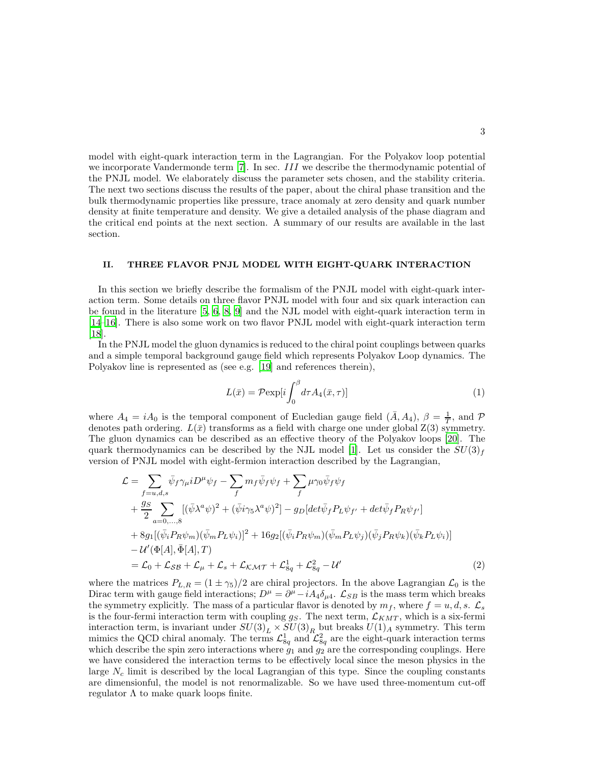model with eight-quark interaction term in the Lagrangian. For the Polyakov loop potential we incorporate Vandermonde term [\[7\]](#page-13-10). In sec. III we describe the thermodynamic potential of the PNJL model. We elaborately discuss the parameter sets chosen, and the stability criteria. The next two sections discuss the results of the paper, about the chiral phase transition and the bulk thermodynamic properties like pressure, trace anomaly at zero density and quark number density at finite temperature and density. We give a detailed analysis of the phase diagram and the critical end points at the next section. A summary of our results are available in the last section.

### II. THREE FLAVOR PNJL MODEL WITH EIGHT-QUARK INTERACTION

In this section we briefly describe the formalism of the PNJL model with eight-quark interaction term. Some details on three flavor PNJL model with four and six quark interaction can be found in the literature [\[5,](#page-12-2) [6](#page-13-11), [8](#page-13-0), [9\]](#page-13-1) and the NJL model with eight-quark interaction term in [\[14](#page-13-6)[–16\]](#page-13-7). There is also some work on two flavor PNJL model with eight-quark interaction term [\[18\]](#page-13-9).

In the PNJL model the gluon dynamics is reduced to the chiral point couplings between quarks and a simple temporal background gauge field which represents Polyakov Loop dynamics. The Polyakov line is represented as (see e.g. [\[19\]](#page-13-12) and references therein),

<span id="page-2-0"></span>
$$
L(\bar{x}) = \mathcal{P}\exp[i\int_0^\beta d\tau A_4(\bar{x}, \tau)] \tag{1}
$$

where  $A_4 = iA_0$  is the temporal component of Eucledian gauge field  $(\bar{A}, A_4)$ ,  $\beta = \frac{1}{T}$ , and P denotes path ordering.  $L(\bar{x})$  transforms as a field with charge one under global  $Z(3)$  symmetry. The gluon dynamics can be described as an effective theory of the Polyakov loops [\[20\]](#page-13-13). The quark thermodynamics can be described by the NJL model [\[1\]](#page-12-0). Let us consider the  $SU(3)_f$ version of PNJL model with eight-fermion interaction described by the Lagrangian,

$$
\mathcal{L} = \sum_{f=u,d,s} \bar{\psi}_f \gamma_\mu i D^\mu \psi_f - \sum_f m_f \bar{\psi}_f \psi_f + \sum_f \mu \gamma_0 \bar{\psi}_f \psi_f \n+ \frac{g_S}{2} \sum_{a=0,...,8} [(\bar{\psi} \lambda^a \psi)^2 + (\bar{\psi} i \gamma_5 \lambda^a \psi)^2] - g_D [det \bar{\psi}_f P_L \psi_{f'} + det \bar{\psi}_f P_R \psi_{f'}] \n+ 8g_1 [(\bar{\psi}_i P_R \psi_m) (\bar{\psi}_m P_L \psi_i)]^2 + 16g_2 [(\bar{\psi}_i P_R \psi_m) (\bar{\psi}_m P_L \psi_j) (\bar{\psi}_j P_R \psi_k) (\bar{\psi}_k P_L \psi_i)] \n- \mathcal{U}'(\Phi[A], \bar{\Phi}[A], T) \n= \mathcal{L}_0 + \mathcal{L}_{SB} + \mathcal{L}_\mu + \mathcal{L}_s + \mathcal{L}_{KMT} + \mathcal{L}_{8q}^1 + \mathcal{L}_{8q}^2 - \mathcal{U}'
$$
\n(2)

where the matrices  $P_{L,R} = (1 \pm \gamma_5)/2$  are chiral projectors. In the above Lagrangian  $\mathcal{L}_0$  is the Dirac term with gauge field interactions;  $D^{\mu} = \partial^{\mu} - iA_4 \delta_{\mu}$ .  $\mathcal{L}_{SB}$  is the mass term which breaks the symmetry explicitly. The mass of a particular flavor is denoted by  $m_f$ , where  $f = u, d, s$ .  $\mathcal{L}_s$ is the four-fermi interaction term with coupling  $g_S$ . The next term,  $\mathcal{L}_{KMT}$ , which is a six-fermi interaction term, is invariant under  $SU(3)_L \times SU(3)_R$  but breaks  $U(1)_A$  symmetry. This term mimics the QCD chiral anomaly. The terms  $\mathcal{L}_{8q}^1$  and  $\mathcal{L}_{8q}^2$  are the eight-quark interaction terms which describe the spin zero interactions where  $g_1$  and  $g_2$  are the corresponding couplings. Here we have considered the interaction terms to be effectively local since the meson physics in the large  $N_c$  limit is described by the local Lagrangian of this type. Since the coupling constants are dimensionful, the model is not renormalizable. So we have used three-momentum cut-off regulator  $\Lambda$  to make quark loops finite.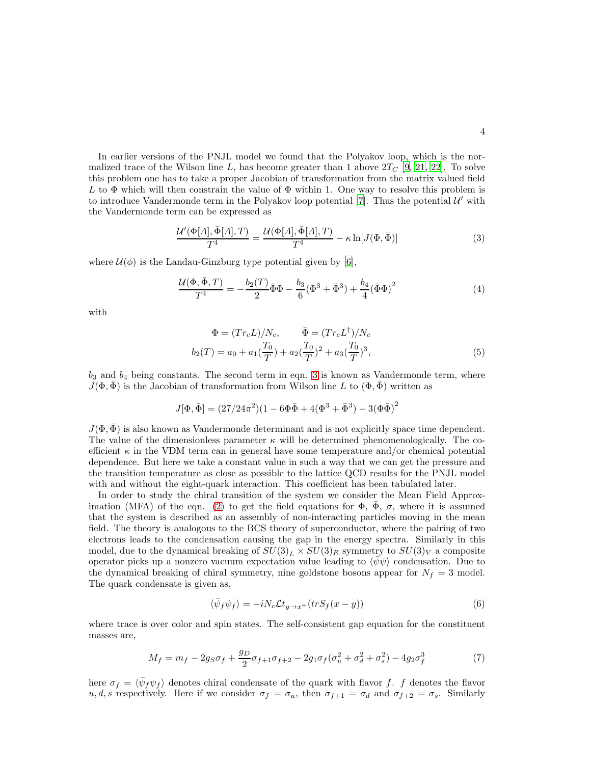In earlier versions of the PNJL model we found that the Polyakov loop, which is the normalized trace of the Wilson line L, has become greater than 1 above  $2T_C$  [\[9](#page-13-1), [21,](#page-13-14) [22\]](#page-13-15). To solve this problem one has to take a proper Jacobian of transformation from the matrix valued field L to  $\Phi$  which will then constrain the value of  $\Phi$  within 1. One way to resolve this problem is to introduce Vandermonde term in the Polyakov loop potential  $[7]$ . Thus the potential  $\mathcal{U}'$  with the Vandermonde term can be expressed as

<span id="page-3-0"></span>
$$
\frac{\mathcal{U}'(\Phi[A], \bar{\Phi}[A], T)}{T^4} = \frac{\mathcal{U}(\Phi[A], \bar{\Phi}[A], T)}{T^4} - \kappa \ln[J(\Phi, \bar{\Phi})] \tag{3}
$$

where  $\mathcal{U}(\phi)$  is the Landau-Ginzburg type potential given by [\[6](#page-13-11)],

$$
\frac{\mathcal{U}(\Phi, \bar{\Phi}, T)}{T^4} = -\frac{b_2(T)}{2} \bar{\Phi}\Phi - \frac{b_3}{6} (\Phi^3 + \bar{\Phi}^3) + \frac{b_4}{4} (\bar{\Phi}\Phi)^2 \tag{4}
$$

with

$$
\Phi = (Tr_c L)/N_c, \qquad \bar{\Phi} = (Tr_c L^{\dagger})/N_c
$$

$$
b_2(T) = a_0 + a_1(\frac{T_0}{T}) + a_2(\frac{T_0}{T})^2 + a_3(\frac{T_0}{T})^3,
$$
(5)

 $b_3$  and  $b_4$  being constants. The second term in eqn. [3](#page-3-0) is known as Vandermonde term, where  $J(\Phi, \Phi)$  is the Jacobian of transformation from Wilson line L to  $(\Phi, \bar{\Phi})$  written as

$$
J[\Phi, \bar{\Phi}] = (27/24\pi^2)(1 - 6\Phi\bar{\Phi} + 4(\Phi^3 + \bar{\Phi}^3) - 3(\Phi\bar{\Phi})^2)
$$

 $J(\Phi, \bar{\Phi})$  is also known as Vandermonde determinant and is not explicitly space time dependent. The value of the dimensionless parameter  $\kappa$  will be determined phenomenologically. The coefficient  $\kappa$  in the VDM term can in general have some temperature and/or chemical potential dependence. But here we take a constant value in such a way that we can get the pressure and the transition temperature as close as possible to the lattice QCD results for the PNJL model with and without the eight-quark interaction. This coefficient has been tabulated later.

In order to study the chiral transition of the system we consider the Mean Field Approx-imation (MFA) of the eqn. [\(2\)](#page-2-0) to get the field equations for  $\Phi$ ,  $\Phi$ ,  $\sigma$ , where it is assumed that the system is described as an assembly of non-interacting particles moving in the mean field. The theory is analogous to the BCS theory of superconductor, where the pairing of two electrons leads to the condensation causing the gap in the energy spectra. Similarly in this model, due to the dynamical breaking of  $SU(3)<sub>L</sub> \times SU(3)<sub>R</sub>$  symmetry to  $SU(3)<sub>V</sub>$  a composite operator picks up a nonzero vacuum expectation value leading to  $\langle \bar{\psi} \psi \rangle$  condensation. Due to the dynamical breaking of chiral symmetry, nine goldstone bosons appear for  $N_f = 3$  model. The quark condensate is given as,

$$
\langle \bar{\psi}_f \psi_f \rangle = -iN_c \mathcal{L}t_{y \to x^+}(trS_f(x - y)) \tag{6}
$$

where trace is over color and spin states. The self-consistent gap equation for the constituent masses are,

$$
M_f = m_f - 2g_S \sigma_f + \frac{g_D}{2} \sigma_{f+1} \sigma_{f+2} - 2g_1 \sigma_f (\sigma_u^2 + \sigma_d^2 + \sigma_s^2) - 4g_2 \sigma_f^3 \tag{7}
$$

here  $\sigma_f = \langle \bar{\psi}_f \psi_f \rangle$  denotes chiral condensate of the quark with flavor f. f denotes the flavor u, d, s respectively. Here if we consider  $\sigma_f = \sigma_u$ , then  $\sigma_{f+1} = \sigma_d$  and  $\sigma_{f+2} = \sigma_s$ . Similarly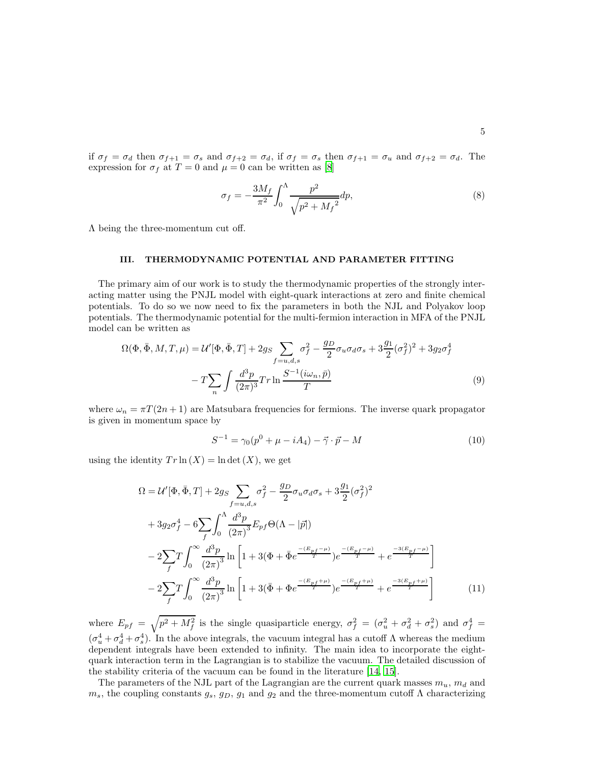if  $\sigma_f = \sigma_d$  then  $\sigma_{f+1} = \sigma_s$  and  $\sigma_{f+2} = \sigma_d$ , if  $\sigma_f = \sigma_s$  then  $\sigma_{f+1} = \sigma_u$  and  $\sigma_{f+2} = \sigma_d$ . The expression for  $\sigma_f$  at  $T = 0$  and  $\mu = 0$  can be written as [\[8\]](#page-13-0)

$$
\sigma_f = -\frac{3M_f}{\pi^2} \int_0^{\Lambda} \frac{p^2}{\sqrt{p^2 + M_f}^2} dp,
$$
\n(8)

Λ being the three-momentum cut off.

#### <span id="page-4-0"></span>III. THERMODYNAMIC POTENTIAL AND PARAMETER FITTING

The primary aim of our work is to study the thermodynamic properties of the strongly interacting matter using the PNJL model with eight-quark interactions at zero and finite chemical potentials. To do so we now need to fix the parameters in both the NJL and Polyakov loop potentials. The thermodynamic potential for the multi-fermion interaction in MFA of the PNJL model can be written as

$$
\Omega(\Phi, \bar{\Phi}, M, T, \mu) = \mathcal{U}'[\Phi, \bar{\Phi}, T] + 2g_S \sum_{f=u,d,s} \sigma_f^2 - \frac{g_D}{2} \sigma_u \sigma_d \sigma_s + 3\frac{g_1}{2} (\sigma_f^2)^2 + 3g_2 \sigma_f^4
$$

$$
-T \sum_n \int \frac{d^3 p}{(2\pi)^3} Tr \ln \frac{S^{-1}(i\omega_n, \bar{p})}{T}
$$
(9)

where  $\omega_n = \pi T(2n + 1)$  are Matsubara frequencies for fermions. The inverse quark propagator is given in momentum space by

$$
S^{-1} = \gamma_0 (p^0 + \mu - iA_4) - \vec{\gamma} \cdot \vec{p} - M \tag{10}
$$

using the identity  $Tr \ln(X) = \ln \det(X)$ , we get

$$
\Omega = \mathcal{U}'[\Phi, \bar{\Phi}, T] + 2g_S \sum_{f=u,d,s} \sigma_f^2 - \frac{g_D}{2} \sigma_u \sigma_d \sigma_s + 3\frac{g_1}{2} (\sigma_f^2)^2
$$
  
+  $3g_2 \sigma_f^4 - 6 \sum_f \int_0^{\Lambda} \frac{d^3 p}{(2\pi)^3} E_{pf} \Theta(\Lambda - |\vec{p}|)$   
-  $2 \sum_f T \int_0^{\infty} \frac{d^3 p}{(2\pi)^3} \ln \left[ 1 + 3(\Phi + \bar{\Phi} e^{\frac{-(E_{pf} - \mu)}{T}}) e^{\frac{-(E_{pf} - \mu)}{T}} + e^{\frac{-3(E_{pf} - \mu)}{T}} \right]$   
-  $2 \sum_f T \int_0^{\infty} \frac{d^3 p}{(2\pi)^3} \ln \left[ 1 + 3(\bar{\Phi} + \Phi e^{\frac{-(E_{pf} + \mu)}{T}}) e^{\frac{-(E_{pf} + \mu)}{T}} + e^{\frac{-3(E_{pf} + \mu)}{T}} \right]$  (11)

where  $E_{pf} = \sqrt{p^2 + M_f^2}$  is the single quasiparticle energy,  $\sigma_f^2 = (\sigma_u^2 + \sigma_d^2 + \sigma_s^2)$  and  $\sigma_f^4 =$  $(\sigma_u^4 + \sigma_d^4 + \sigma_s^4)$ . In the above integrals, the vacuum integral has a cutoff  $\Lambda$  whereas the medium dependent integrals have been extended to infinity. The main idea to incorporate the eightquark interaction term in the Lagrangian is to stabilize the vacuum. The detailed discussion of the stability criteria of the vacuum can be found in the literature [\[14,](#page-13-6) [15\]](#page-13-16).

The parameters of the NJL part of the Lagrangian are the current quark masses  $m_u$ ,  $m_d$  and  $m_s$ , the coupling constants  $g_s$ ,  $g_D$ ,  $g_1$  and  $g_2$  and the three-momentum cutoff  $\Lambda$  characterizing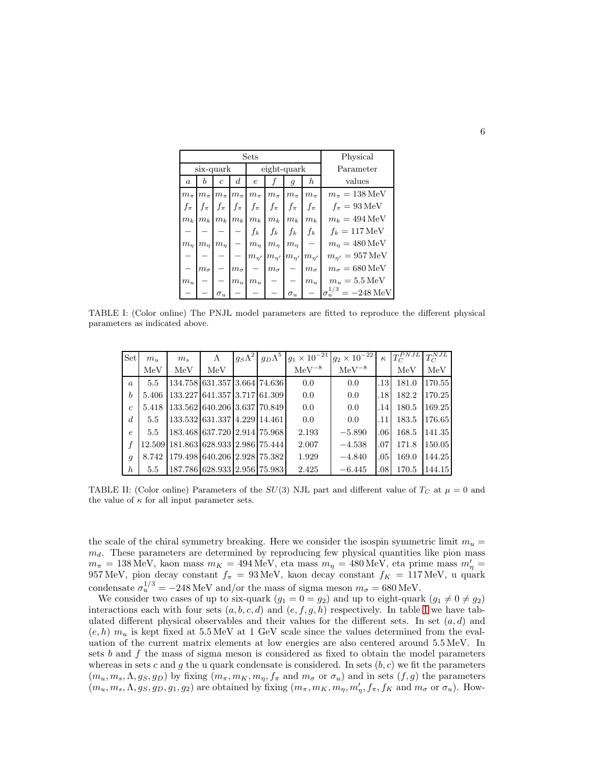|                  | Sets         |                |                  |                    |              |                |                          | Physical                        |  |  |
|------------------|--------------|----------------|------------------|--------------------|--------------|----------------|--------------------------|---------------------------------|--|--|
|                  | six-quark    |                |                  |                    | eight-quark  |                |                          | Parameter                       |  |  |
| $\boldsymbol{a}$ | b            | $\overline{c}$ | $\boldsymbol{d}$ | $\epsilon$         |              | $\mathfrak{g}$ | $\boldsymbol{h}$         | values                          |  |  |
| $m_{\pi}$        | $m_{\pi}$    | $m_{\pi}$      | $m_{\pi}$        | $m_{\pi}$          | $m_{\pi}$    | $m_{\pi}$      | $m_{\pi}$                | $m_{\pi} = 138 \text{ MeV}$     |  |  |
| $f_{\pi}$        | $f_{\pi}$    | $f_{\pi}$      | $f_{\pi}$        | $f_{\pi}$          | $f_{\pi}$    | $f_{\pi}$      | $f_{\pi}$                | $f_{\pi} = 93 \,\text{MeV}$     |  |  |
| $m_k$            | $m_k$        | $m_k$          | $m_k$            | $m_k$              | $m_k$        | $m_k$          | $m_k$                    | $m_k = 494 \,\text{MeV}$        |  |  |
|                  |              |                |                  | $f_k$              | $f_k$        | $f_k$          | $f_k$                    | $f_k = 117 \,\text{MeV}$        |  |  |
| $m_{\eta}$       | $m_n$        | $m_n$          |                  | $m_{\eta}$         | $m_n$        | $m_n$          | $\overline{\phantom{0}}$ | $m_n = 480 \,\text{MeV}$        |  |  |
|                  |              |                |                  | $m_{\eta'}$        | $m_{\eta'}$  | $m_{\eta'}$    | $m_{n'}$                 | $m_{n'} = 957 \,\text{MeV}$     |  |  |
|                  | $m_{\sigma}$ |                | $m_{\sigma}$     |                    | $m_{\sigma}$ |                | $m_{\sigma}$             | $m_{\sigma} = 680 \,\text{MeV}$ |  |  |
| $m_u$            |              |                | $m_u$            | $\boldsymbol{m}_u$ |              |                | $m_u$                    | $m_u = 5.5 \,\text{MeV}$        |  |  |
|                  |              | $\sigma _{u}$  |                  |                    |              | $\sigma_u$     |                          | $=-248 \text{ MeV}$             |  |  |

TABLE I: (Color online) The PNJL model parameters are fitted to reproduce the different physical parameters as indicated above.

<span id="page-5-0"></span>

| Set              | $m_{\rm u}$ | m <sub>s</sub> | $\Lambda$                           | $g_S\Lambda^2$ | $g_D\Lambda^5 \,  g_1 \times 10^{-21}$ | $g_2 \times 10^{-22}$ | $\kappa$ | $T_C^{PNJL}$ | $T_C^{NJL}$ |
|------------------|-------------|----------------|-------------------------------------|----------------|----------------------------------------|-----------------------|----------|--------------|-------------|
|                  | MeV         | MeV            | MeV                                 |                | $MeV^{-8}$                             | ${\rm MeV^{-8}}$      |          | MeV          | MeV         |
| $\alpha$         | 5.5         |                | 134.758 631.357 3.664 74.636        |                | 0.0                                    | 0.0                   | .13      | 181.0        | 170.55      |
| $\boldsymbol{b}$ | 5.406       |                | 133.2271641.35713.717161.3091       |                | 0.0                                    | 0.0                   | .18      | 182.2        | 170.25      |
| $\epsilon$       | 5.418       |                | 133.562 640.206 3.637 70.849        |                | 0.0                                    | 0.0                   | .14      | 180.5        | 169.25      |
| d                | 5.5         |                | 133.532 631.337 4.229 14.461        |                | 0.0                                    | 0.0                   | .11      | 183.5        | 176.65      |
| $\epsilon$       | 5.5         |                | 183.4681637.72012.914175.9681       |                | 2.193                                  | $-5.890$              | .06      | 168.5        | 141.35      |
|                  |             |                | 12.509 181.863 628.933 2.986 75.444 |                | 2.007                                  | $-4.538$              | .07      | 171.8        | 150.05      |
| q                | 8.742       |                | 179.498 640.206 2.928 75.382        |                | 1.929                                  | $-4.840$              | .05      | 169.0        | 144.25      |
| $\boldsymbol{h}$ | 5.5         |                | 187.786 628.933 2.956 75.983        |                | 2.425                                  | $-6.445$              | .08      | 170.5        | 144.15      |

<span id="page-5-1"></span>TABLE II: (Color online) Parameters of the  $SU(3)$  NJL part and different value of  $T_C$  at  $\mu = 0$  and the value of  $\kappa$  for all input parameter sets.

the scale of the chiral symmetry breaking. Here we consider the isospin symmetric limit  $m_u =$  $m_d$ . These parameters are determined by reproducing few physical quantities like pion mass  $m_{\pi} = 138 \,\mathrm{MeV},$  kaon mass  $m_K = 494 \,\mathrm{MeV},$  eta mass  $m_{\eta} = 480 \,\mathrm{MeV},$  eta prime mass  $m_{\eta}' = 138 \,\mathrm{MeV},$ 957 MeV, pion decay constant  $f_{\pi} = 93$  MeV, kaon decay constant  $f_{K} = 117$  MeV, u quark condensate  $\sigma_u^{1/3} = -248 \text{ MeV}$  and/or the mass of sigma meson  $m_\sigma = 680 \text{ MeV}$ .

We consider two cases of up to six-quark  $(g_1 = 0 = g_2)$  and up to eight-quark  $(g_1 \neq 0 \neq g_2)$ interactions each with four sets  $(a, b, c, d)$  and  $(e, f, g, h)$  respectively. [I](#page-5-0)n table I we have tabulated different physical observables and their values for the different sets. In set  $(a, d)$  and  $(e, h)$  m<sub>u</sub> is kept fixed at 5.5 MeV at 1 GeV scale since the values determined from the evaluation of the current matrix elements at low energies are also centered around 5.5 MeV. In sets b and f the mass of sigma meson is considered as fixed to obtain the model parameters whereas in sets c and g the u quark condensate is considered. In sets  $(b, c)$  we fit the parameters  $(m_u, m_s, \Lambda, g_S, g_D)$  by fixing  $(m_{\pi}, m_K, m_{\eta}, f_{\pi}$  and  $m_{\sigma}$  or  $\sigma_u$ ) and in sets  $(f, g)$  the parameters  $(m_u, m_s, \Lambda, g_S, g_D, g_1, g_2)$  are obtained by fixing  $(m_\pi, m_K, m_\eta, m'_\eta, f_\pi, f_K$  and  $m_\sigma$  or  $\sigma_u$ ). How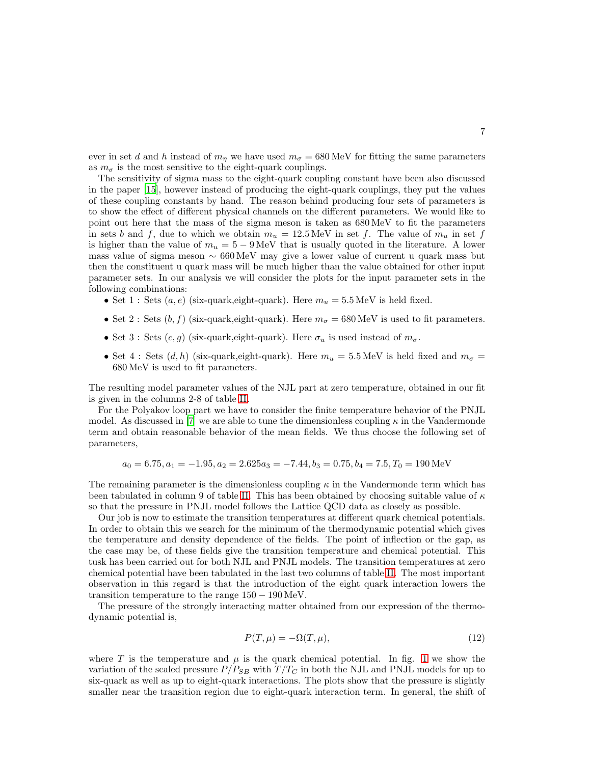ever in set d and h instead of  $m_n$  we have used  $m_{\sigma} = 680 \text{ MeV}$  for fitting the same parameters as  $m_{\sigma}$  is the most sensitive to the eight-quark couplings.

The sensitivity of sigma mass to the eight-quark coupling constant have been also discussed in the paper [\[15\]](#page-13-16), however instead of producing the eight-quark couplings, they put the values of these coupling constants by hand. The reason behind producing four sets of parameters is to show the effect of different physical channels on the different parameters. We would like to point out here that the mass of the sigma meson is taken as 680 MeV to fit the parameters in sets b and f, due to which we obtain  $m_u = 12.5 \,\text{MeV}$  in set f. The value of  $m_u$  in set f is higher than the value of  $m_u = 5 - 9 \,\text{MeV}$  that is usually quoted in the literature. A lower mass value of sigma meson  $\sim 660 \,\text{MeV}$  may give a lower value of current u quark mass but then the constituent u quark mass will be much higher than the value obtained for other input parameter sets. In our analysis we will consider the plots for the input parameter sets in the following combinations:

- Set 1 : Sets  $(a, e)$  (six-quark, eight-quark). Here  $m_u = 5.5$  MeV is held fixed.
- Set 2 : Sets  $(b, f)$  (six-quark,eight-quark). Here  $m_{\sigma} = 680 \,\text{MeV}$  is used to fit parameters.
- Set 3 : Sets  $(c, g)$  (six-quark,eight-quark). Here  $\sigma_u$  is used instead of  $m_{\sigma}$ .
- Set 4 : Sets  $(d, h)$  (six-quark,eight-quark). Here  $m_u = 5.5 \text{ MeV}$  is held fixed and  $m_\sigma =$ 680 MeV is used to fit parameters.

The resulting model parameter values of the NJL part at zero temperature, obtained in our fit is given in the columns 2-8 of table [II.](#page-5-1)

For the Polyakov loop part we have to consider the finite temperature behavior of the PNJL model. As discussed in [\[7\]](#page-13-10) we are able to tune the dimensionless coupling  $\kappa$  in the Vandermonde term and obtain reasonable behavior of the mean fields. We thus choose the following set of parameters,

$$
a_0 = 6.75, a_1 = -1.95, a_2 = 2.625a_3 = -7.44, b_3 = 0.75, b_4 = 7.5, T_0 = 190 \,\text{MeV}
$$

The remaining parameter is the dimensionless coupling  $\kappa$  in the Vandermonde term which has been tabulated in column 9 of table [II.](#page-5-1) This has been obtained by choosing suitable value of  $\kappa$ so that the pressure in PNJL model follows the Lattice QCD data as closely as possible.

Our job is now to estimate the transition temperatures at different quark chemical potentials. In order to obtain this we search for the minimum of the thermodynamic potential which gives the temperature and density dependence of the fields. The point of inflection or the gap, as the case may be, of these fields give the transition temperature and chemical potential. This tusk has been carried out for both NJL and PNJL models. The transition temperatures at zero chemical potential have been tabulated in the last two columns of table [II.](#page-5-1) The most important observation in this regard is that the introduction of the eight quark interaction lowers the transition temperature to the range  $150 - 190 \,\text{MeV}$ .

The pressure of the strongly interacting matter obtained from our expression of the thermodynamic potential is,

$$
P(T, \mu) = -\Omega(T, \mu),\tag{12}
$$

where T is the temperature and  $\mu$  is the quark chemical potential. In fig. [1](#page-7-0) we show the variation of the scaled pressure  $P/P_{SB}$  with  $T/T_C$  in both the NJL and PNJL models for up to six-quark as well as up to eight-quark interactions. The plots show that the pressure is slightly smaller near the transition region due to eight-quark interaction term. In general, the shift of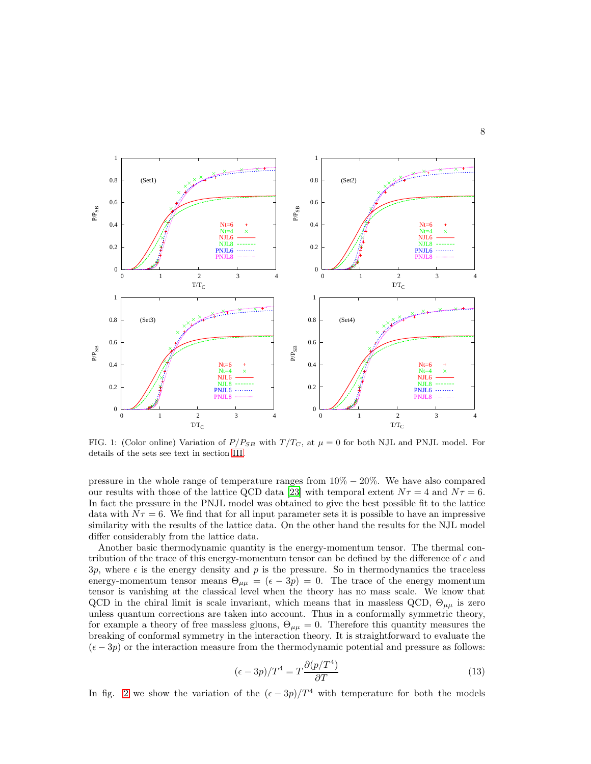

<span id="page-7-0"></span>FIG. 1: (Color online) Variation of  $P/P_{SB}$  with  $T/T_C$ , at  $\mu = 0$  for both NJL and PNJL model. For details of the sets see text in section [III.](#page-4-0)

pressure in the whole range of temperature ranges from  $10\% - 20\%$ . We have also compared our results with those of the lattice QCD data [\[23](#page-13-17)] with temporal extent  $N\tau = 4$  and  $N\tau = 6$ . In fact the pressure in the PNJL model was obtained to give the best possible fit to the lattice data with  $N\tau = 6$ . We find that for all input parameter sets it is possible to have an impressive similarity with the results of the lattice data. On the other hand the results for the NJL model differ considerably from the lattice data.

Another basic thermodynamic quantity is the energy-momentum tensor. The thermal contribution of the trace of this energy-momentum tensor can be defined by the difference of  $\epsilon$  and  $3p$ , where  $\epsilon$  is the energy density and p is the pressure. So in thermodynamics the traceless energy-momentum tensor means  $\Theta_{\mu\mu} = (\epsilon - 3p) = 0$ . The trace of the energy momentum tensor is vanishing at the classical level when the theory has no mass scale. We know that QCD in the chiral limit is scale invariant, which means that in massless QCD,  $\Theta_{\mu\mu}$  is zero unless quantum corrections are taken into account. Thus in a conformally symmetric theory, for example a theory of free massless gluons,  $\Theta_{\mu\mu} = 0$ . Therefore this quantity measures the breaking of conformal symmetry in the interaction theory. It is straightforward to evaluate the  $(\epsilon - 3p)$  or the interaction measure from the thermodynamic potential and pressure as follows:

$$
(\epsilon - 3p)/T^4 = T \frac{\partial (p/T^4)}{\partial T}
$$
\n(13)

In fig. [2](#page-8-0) we show the variation of the  $(\epsilon - 3p)/T^4$  with temperature for both the models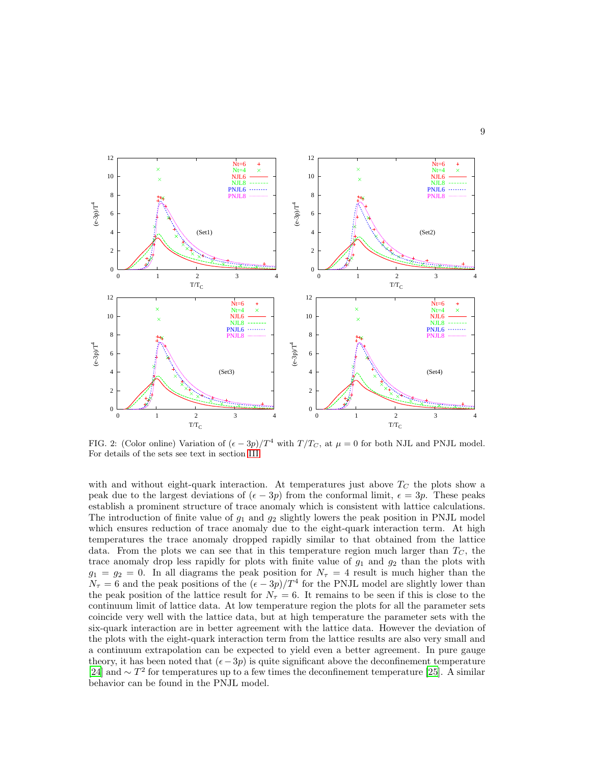

<span id="page-8-0"></span>FIG. 2: (Color online) Variation of  $(\epsilon - 3p)/T^4$  with  $T/T_C$ , at  $\mu = 0$  for both NJL and PNJL model. For details of the sets see text in section [III.](#page-4-0)

with and without eight-quark interaction. At temperatures just above  $T_C$  the plots show a peak due to the largest deviations of  $(\epsilon - 3p)$  from the conformal limit,  $\epsilon = 3p$ . These peaks establish a prominent structure of trace anomaly which is consistent with lattice calculations. The introduction of finite value of  $g_1$  and  $g_2$  slightly lowers the peak position in PNJL model which ensures reduction of trace anomaly due to the eight-quark interaction term. At high temperatures the trace anomaly dropped rapidly similar to that obtained from the lattice data. From the plots we can see that in this temperature region much larger than  $T<sub>C</sub>$ , the trace anomaly drop less rapidly for plots with finite value of  $g_1$  and  $g_2$  than the plots with  $g_1 = g_2 = 0$ . In all diagrams the peak position for  $N_\tau = 4$  result is much higher than the  $N_{\tau} = 6$  and the peak positions of the  $(\epsilon - 3p)/T^4$  for the PNJL model are slightly lower than the peak position of the lattice result for  $N_{\tau} = 6$ . It remains to be seen if this is close to the continuum limit of lattice data. At low temperature region the plots for all the parameter sets coincide very well with the lattice data, but at high temperature the parameter sets with the six-quark interaction are in better agreement with the lattice data. However the deviation of the plots with the eight-quark interaction term from the lattice results are also very small and a continuum extrapolation can be expected to yield even a better agreement. In pure gauge theory, it has been noted that  $(e-3p)$  is quite significant above the deconfinement temperature [\[24\]](#page-13-18) and  $\sim T^2$  for temperatures up to a few times the deconfinement temperature [\[25\]](#page-13-19). A similar behavior can be found in the PNJL model.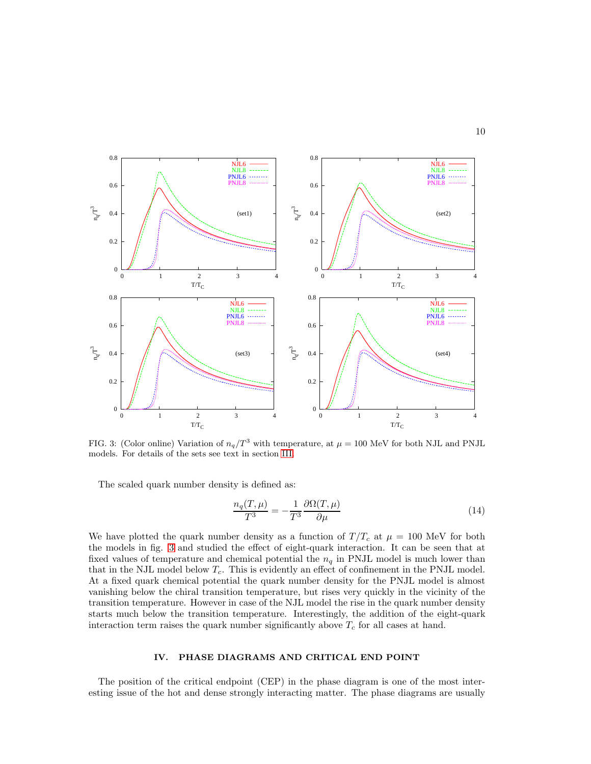

<span id="page-9-0"></span>FIG. 3: (Color online) Variation of  $n_q/T^3$  with temperature, at  $\mu = 100$  MeV for both NJL and PNJL models. For details of the sets see text in section [III.](#page-4-0)

The scaled quark number density is defined as:

$$
\frac{n_q(T,\mu)}{T^3} = -\frac{1}{T^3} \frac{\partial \Omega(T,\mu)}{\partial \mu} \tag{14}
$$

We have plotted the quark number density as a function of  $T/T_c$  at  $\mu = 100$  MeV for both the models in fig. [3](#page-9-0) and studied the effect of eight-quark interaction. It can be seen that at fixed values of temperature and chemical potential the  $n_q$  in PNJL model is much lower than that in the NJL model below  $T_c$ . This is evidently an effect of confinement in the PNJL model. At a fixed quark chemical potential the quark number density for the PNJL model is almost vanishing below the chiral transition temperature, but rises very quickly in the vicinity of the transition temperature. However in case of the NJL model the rise in the quark number density starts much below the transition temperature. Interestingly, the addition of the eight-quark interaction term raises the quark number significantly above  $T_c$  for all cases at hand.

# IV. PHASE DIAGRAMS AND CRITICAL END POINT

The position of the critical endpoint (CEP) in the phase diagram is one of the most interesting issue of the hot and dense strongly interacting matter. The phase diagrams are usually

10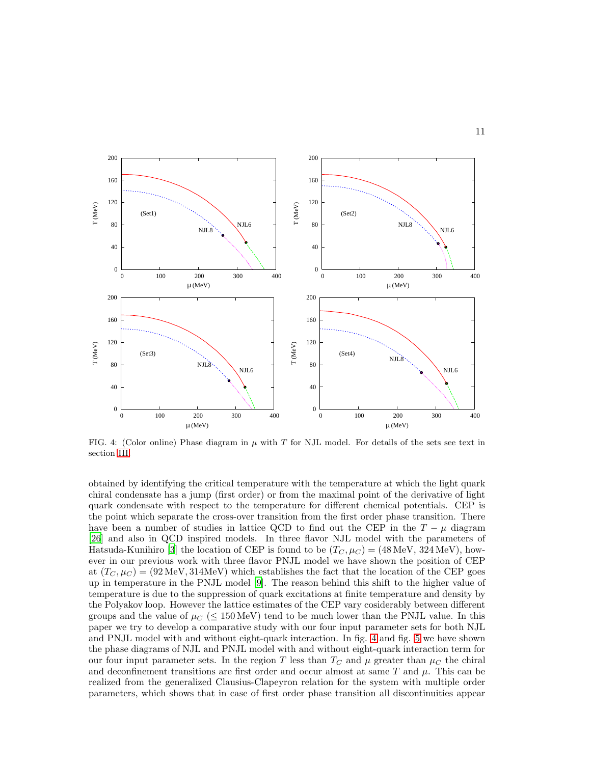

<span id="page-10-0"></span>FIG. 4: (Color online) Phase diagram in  $\mu$  with T for NJL model. For details of the sets see text in section [III.](#page-4-0)

obtained by identifying the critical temperature with the temperature at which the light quark chiral condensate has a jump (first order) or from the maximal point of the derivative of light quark condensate with respect to the temperature for different chemical potentials. CEP is the point which separate the cross-over transition from the first order phase transition. There have been a number of studies in lattice QCD to find out the CEP in the  $T - \mu$  diagram [\[26\]](#page-13-20) and also in QCD inspired models. In three flavor NJL model with the parameters of Hatsuda-Kunihiro [\[3](#page-12-3)] the location of CEP is found to be  $(T_C, \mu_C) = (48 \text{ MeV}, 324 \text{ MeV})$ , however in our previous work with three flavor PNJL model we have shown the position of CEP at  $(T_C, \mu_C) = (92 \text{ MeV}, 314 \text{ MeV})$  which establishes the fact that the location of the CEP goes up in temperature in the PNJL model [\[9\]](#page-13-1). The reason behind this shift to the higher value of temperature is due to the suppression of quark excitations at finite temperature and density by the Polyakov loop. However the lattice estimates of the CEP vary cosiderably between different groups and the value of  $\mu_C$  ( $\leq 150 \,\text{MeV}$ ) tend to be much lower than the PNJL value. In this paper we try to develop a comparative study with our four input parameter sets for both NJL and PNJL model with and without eight-quark interaction. In fig. [4](#page-10-0) and fig. [5](#page-11-0) we have shown the phase diagrams of NJL and PNJL model with and without eight-quark interaction term for our four input parameter sets. In the region T less than  $T_{C}$  and  $\mu$  greater than  $\mu_{C}$  the chiral and deconfinement transitions are first order and occur almost at same T and  $\mu$ . This can be realized from the generalized Clausius-Clapeyron relation for the system with multiple order parameters, which shows that in case of first order phase transition all discontinuities appear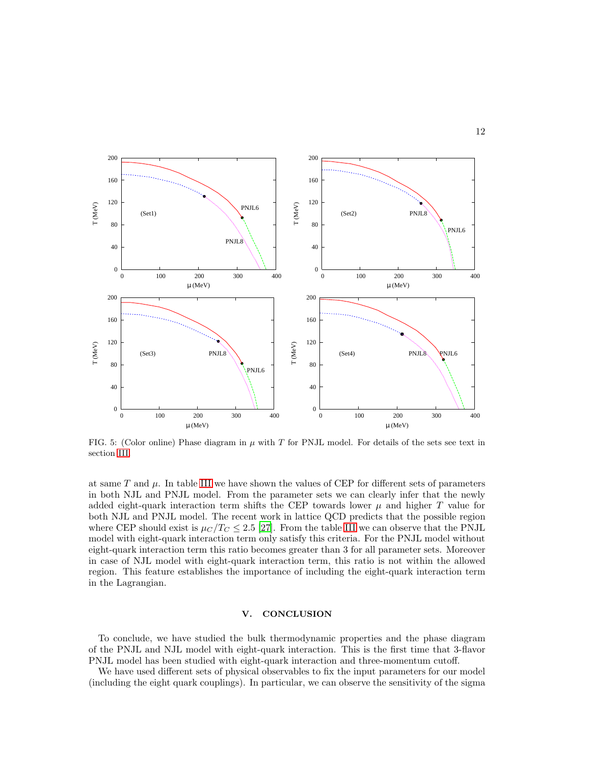

<span id="page-11-0"></span>FIG. 5: (Color online) Phase diagram in  $\mu$  with T for PNJL model. For details of the sets see text in section [III.](#page-4-0)

at same  $T$  and  $\mu$ . In table [III](#page-12-4) we have shown the values of CEP for different sets of parameters in both NJL and PNJL model. From the parameter sets we can clearly infer that the newly added eight-quark interaction term shifts the CEP towards lower  $\mu$  and higher T value for both NJL and PNJL model. The recent work in lattice QCD predicts that the possible region where CEP should exist is  $\mu_C/T_C \leq 2.5$  [\[27](#page-13-21)]. From the table [III](#page-12-4) we can observe that the PNJL model with eight-quark interaction term only satisfy this criteria. For the PNJL model without eight-quark interaction term this ratio becomes greater than 3 for all parameter sets. Moreover in case of NJL model with eight-quark interaction term, this ratio is not within the allowed region. This feature establishes the importance of including the eight-quark interaction term in the Lagrangian.

#### V. CONCLUSION

To conclude, we have studied the bulk thermodynamic properties and the phase diagram of the PNJL and NJL model with eight-quark interaction. This is the first time that 3-flavor PNJL model has been studied with eight-quark interaction and three-momentum cutoff.

We have used different sets of physical observables to fix the input parameters for our model (including the eight quark couplings). In particular, we can observe the sensitivity of the sigma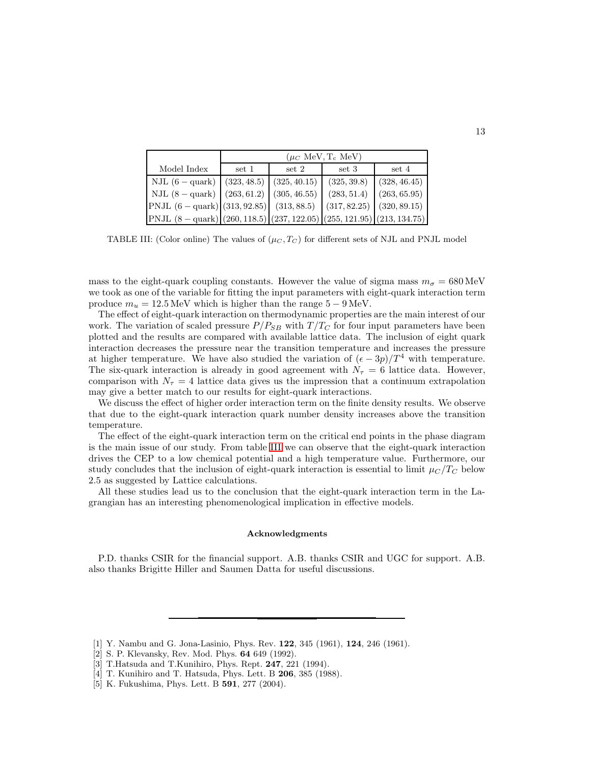|                                                                                  |             | $(\mu_C \text{ MeV}, T_c \text{ MeV})$ |                               |              |
|----------------------------------------------------------------------------------|-------------|----------------------------------------|-------------------------------|--------------|
| Model Index                                                                      | set 1       | set 2                                  | set 3                         | set 4        |
| $NJL(6-quark)$                                                                   | (323, 48.5) | (325, 40.15)                           | (325, 39.8)                   | (328, 46.45) |
| NJL $(8 - \text{quark}) (263, 61.2) (305, 46.55)$                                |             |                                        | (283, 51.4)                   | (263, 65.95) |
| PNJL $(6 - \text{quark})$ (313, 92.85) (313, 88.5)                               |             |                                        | $(317, 82.25)$ $(320, 89.15)$ |              |
| $\text{PNJL (8 - quark)} (260, 118.5) (237, 122.05) (255, 121.95) (213, 134.75)$ |             |                                        |                               |              |

<span id="page-12-4"></span>TABLE III: (Color online) The values of  $(\mu_C, T_C)$  for different sets of NJL and PNJL model

mass to the eight-quark coupling constants. However the value of sigma mass  $m_{\sigma} = 680 \,\text{MeV}$ we took as one of the variable for fitting the input parameters with eight-quark interaction term produce  $m_u = 12.5 \,\text{MeV}$  which is higher than the range  $5 - 9 \,\text{MeV}$ .

The effect of eight-quark interaction on thermodynamic properties are the main interest of our work. The variation of scaled pressure  $P/P_{SB}$  with  $T/T_C$  for four input parameters have been plotted and the results are compared with available lattice data. The inclusion of eight quark interaction decreases the pressure near the transition temperature and increases the pressure at higher temperature. We have also studied the variation of  $(\epsilon - 3p)/T^4$  with temperature. The six-quark interaction is already in good agreement with  $N<sub>\tau</sub> = 6$  lattice data. However, comparison with  $N<sub>\tau</sub> = 4$  lattice data gives us the impression that a continuum extrapolation may give a better match to our results for eight-quark interactions.

We discuss the effect of higher order interaction term on the finite density results. We observe that due to the eight-quark interaction quark number density increases above the transition temperature.

The effect of the eight-quark interaction term on the critical end points in the phase diagram is the main issue of our study. From table [III](#page-12-4) we can observe that the eight-quark interaction drives the CEP to a low chemical potential and a high temperature value. Furthermore, our study concludes that the inclusion of eight-quark interaction is essential to limit  $\mu_C/T_C$  below 2.5 as suggested by Lattice calculations.

All these studies lead us to the conclusion that the eight-quark interaction term in the Lagrangian has an interesting phenomenological implication in effective models.

#### Acknowledgments

P.D. thanks CSIR for the financial support. A.B. thanks CSIR and UGC for support. A.B. also thanks Brigitte Hiller and Saumen Datta for useful discussions.

- <span id="page-12-0"></span>[1] Y. Nambu and G. Jona-Lasinio, Phys. Rev. 122, 345 (1961), 124, 246 (1961).
- [2] S. P. Klevansky, Rev. Mod. Phys. 64 649 (1992).
- <span id="page-12-3"></span>[3] T.Hatsuda and T.Kunihiro, Phys. Rept. 247, 221 (1994).
- <span id="page-12-1"></span>[4] T. Kunihiro and T. Hatsuda, Phys. Lett. B 206, 385 (1988).
- <span id="page-12-2"></span>[5] K. Fukushima, Phys. Lett. B 591, 277 (2004).